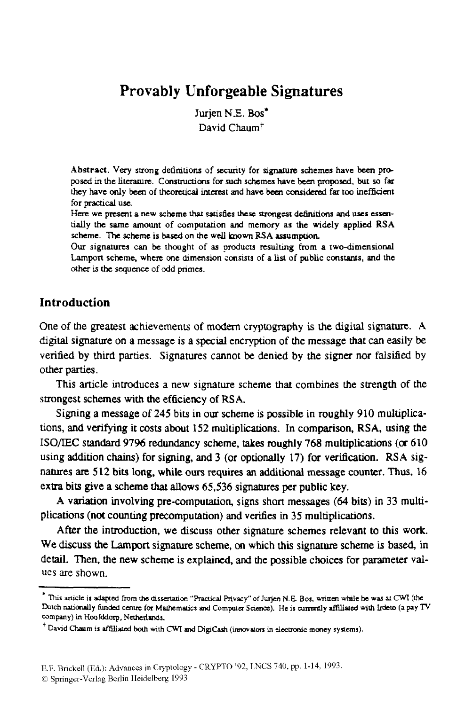## **Provably Unforgeable Signatures**

Jurien N.E. Bos<sup>\*</sup> David Chaum<sup>t</sup>

**Abstract. Very strong de6mtions** of **security** for **signature schemes have** bcen **pm**  posed in **the** litcrarure. **Construdicms** for *such* **schemes have** btcn proposed, *but so* far **they have only** becn **of** theoruical **interest and have** becn **considered far too** inefficicnt for practical use.

Here **we** *present* **a new scheme** that *satisfies* **these** *-gat* **ddiniticmr and uses es~ek**  tidy the **same amount of computation and memory as the widely applied RSA scheme.** The **scheme is** based **on the well** known **RSA assumption.** 

Our **signatures** *can* **be thought of as products resulting** from **a two-dimensional**  Lampon **scheme, where me dimension sonsuts of a** *list* **of public constarus, and the**  *olher is* **the sequence of odd prim-.** 

#### **Introduction**

One *of* the greatest achievements of modern cryptography is the **digital** signature. A **digital** signature on a message is **a** special encryption of the message that *can* easily **be**  verified by **third** parties. Signatures cannot **be** denied by the signer nor **falsified** by other parties.

This article introduces a new signature scheme that combines the strength of the strongest schemes with **the** efficiency of **RSA.** 

Signing **a** message of **245** bits in our **scheme** is possible in roughly 910 multiplications, **and** verifying it *costs* about **152** multiplications. In comparison, **RSA,** using the **ISO/IEC** standard **97%** redundancy scheme, takes roughly **768** multiplications **(or 610**  using **addition** chains) for signing, **and 3** (or optionally **17)** for **verification. RSA** signatures **are 512** bits long, while **ours requires an** additional **message** counter. **Thus, 16**  extra bits give a scheme that allows 65,536 signatures per public key.

A variation involving pre-computation, *signs* short messages *(64* bits) in 33 multiplications (not counting precomputation) **and** verifies in **35** multiplications.

**After** the introduction, we **discuss** other signature schemes relevant to this work. We **discuss the** Lamport signature scheme, *on* which this **signature** scheme is **based,** in detail. Then, the new scheme is explained, and **the** possible choices **for** parameter values are shown.

<sup>\*</sup> This article is adapted from the dissertation "Practical Privacy" of Jurjen N.E. Bos, written while he was at CWI (the Dutch nationally funded centre for Mathematics and Computer Science). He is currently affiliated with Irdeto (a pay TV company) in Hoofddorp, Netherlands.

David Chaum is affiliated both with CWI and DigiCash (innovators in electronic money systems).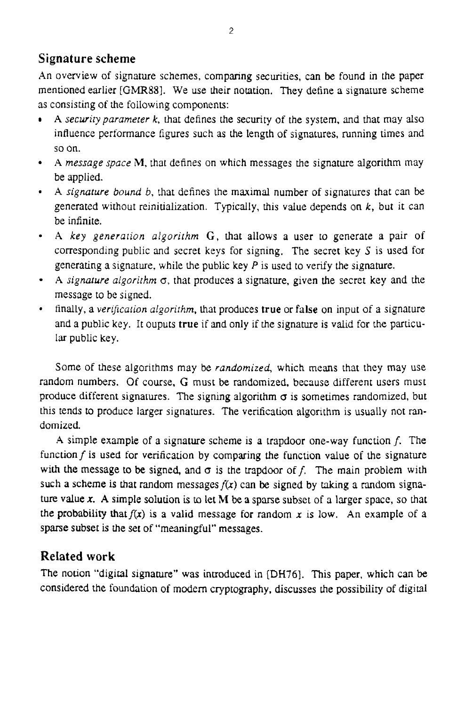#### **Signature scheme**

**An** overview of signature schemes, comparing securities, can be found in the paper mentioned earlier *[GMRB].* We use their notation. They define a signature scheme as consisting of the following components:

- **A** *securityparamerer k,* that defines the security of the system, **and** that may also  $\bullet$ influence performance figures such as the length of signatures, running times and so on.
- **A** *message space* **M,** that defines on which messages the signature algorithm may be applied.
- **A** *signature bound 6,* that defines the maximal number of signatures that can be generated without reinitialization. Typically, this value depends on  $k$ , but it can be infinite.
- **A** *key generation algorirhm G,* that allows a user to generate a pair of corresponding public and secret keys for signing. The secret key  $S$  is used for generating a signature. while the public key *P* is used to venfy the signature.
- **A** *signature algorithm*  $\sigma$ , that produces a signature, given the secret key and the message to be signed.
- finally, a *verificafion algorirhm,* that produces **true** or **false** on input of a signature and a public key. It ouputs **true** if and only if the signature is valid for the particular public key.

Some of these algorithms may be *randomized,* which means that they may use random numbers. Of course, *G* must **be** randomized, because different users must produce different signatures. The signing algorithm  $\sigma$  is sometimes randomized, but this tends to produce larger signatures. The verification algorithm is usually not randomized.

**<sup>A</sup>**simple example of a signature scheme is a trapdoor one-way function f. The function  $f$  is used for verification by comparing the function value of the signature with the message to be signed, and  $\sigma$  is the trapdoor of f. The main problem with such a scheme is that random messages  $f(x)$  can be signed by taking a random signature **value 1.** *A* simple solution is to let **M be** a sparse subset of a larger space, so that the probability that  $f(x)$  is a valid message for random x is low. An example of a sparse subset is the set of "meaningful" messages.

## **Related work**

The notion "digital signature" was introduced in **[DH76].** This paper, **which** can be considered the foundation of modern cryptography, discusses the possibility of digital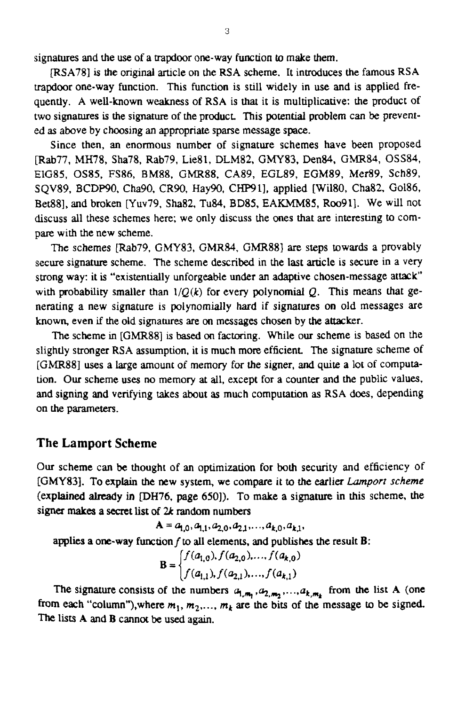signatures **and** the use of a **trapdoor** one-way function to make them.

**mSA781** is the original article on the RSA scheme. It introduces the famous RSA trapdoor one-way function. This function is still widely in use and is applied **fre**quently. **A** well-known weakness *of* **RSA** is that it is multiplicative: **the** product of two signatures **is** the **signature** of the product This potential problem can **be** prevented as above by choosing an appropriate sparse message space.

Since then, an enormous **number** of signature schemes have been proposed [Rab77, MH78, Sha78, Rab79, Lie81, DLM82, GMY83, Den84, GMR84, OSS84, **ElG85,** OS85, **FS86, BM88.** *GMR88.* **CA89,** EGL89, EGM89, Mer89, Sch89, SQV89, BCDP90, Cha90, CR90, Hay90, CHP91], applied [Wil80, Cha82, Gol86, Bet881, and broken [Yuv79, Sha82, Tu84, BD85, EAKMM85, Roo91]. We will not discuss all these schemes here; we only discuss the Ones that are interesting to compare with the new scheme.

The schemes [Rab79, *GMY83,* **GMR84,** GMR881 are steps towards a provably secure **signature** scheme. The scheme described in the last article is secure in a very strong way: it **is** "existentially unforgeable under an adaptive chosen-message attack' with probability smaller than  $1/Q(k)$  for every polynomial Q. This means that generating a new signature is polynomially hard if signatures on old messages are known, even if the old signatures are on messages chosen by the attacker.

The scheme in [GMR88] is based *on* factoring. While our scheme is based on the slightly stronger RSA assumption, it is much **more** efficient The signature scheme of [GMR88] uses a large amount of memory *for the* signer, and quite **a** lot of computa**tion.** *Our* scheme **uses no** memory **at** all, except for a counter and the public values. and signing and verifying takes about **as** much computation **as** RSA **does,** depending on **the** parameters.

#### **The Lamport Scheme**

**Our** scheme can **be** thought of an optimization for **both security** and efficiency of **[GMY83].** To explain **the** new system, we compare it to **the earlier** *Lomporr* scheme (explained already in DH76, page **6501).** To make **a** signature in this scheme, the signer **maka** a secret list *of 2k* **random** numbers

 $A = a_{1,0}, a_{1,1}, a_{2,0}, a_{2,1}, \ldots, a_{k,0}, a_{k,1},$ 

applies a one-way function  $f$  to all elements, and publishes the result  $\bf{B}$ :

$$
\mathbf{B} = \begin{cases} f(a_{1,0}), f(a_{2,0}), \dots, f(a_{k,0}) \\ f(a_{1,1}), f(a_{2,1}), \dots, f(a_{k,1}) \end{cases}
$$

The signature consists of the numbers  $a_{1,m_1}, a_{2,m_2},..., a_{k,m_k}$  from the list A (one from each "column"), where  $m_1$ ,  $m_2$ ,...,  $m_k$  are the bits of the message to be signed. The lists A and **B** cannot **be** used again.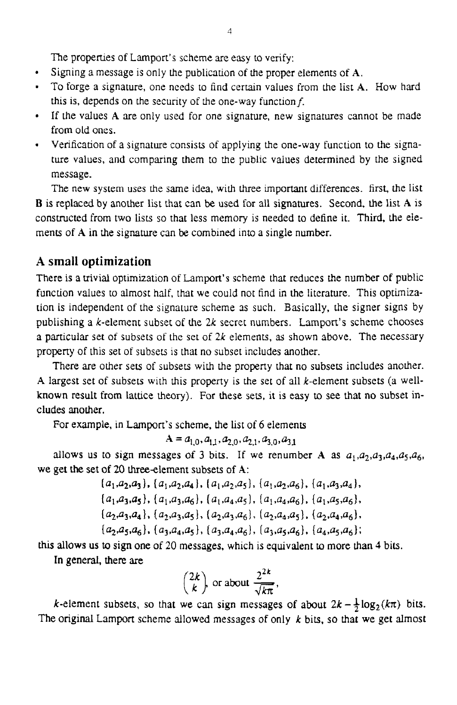The properties of Lamport's scheme are easy to verify:

- $\bullet$ Signing a message is only the publication of the proper elements of **A.**
- To forge a signature, one needs to find certain values from the list **A**. How hard this is, depends on the security of the one-way function  $f$ .
- If the values **A** are only used for one signature, new signatures cannot be made from **old** ones.
- Verification of a signature consists of applying the one-way function to the signature values, and comparing them to the public values determined by the signed message.

The new system uses the same idea, with three important differences. first, the list **B** is replaced by another list that can **be** used for all signatures. Second, the list **A** is constructed from two lists so that less memory is needed to define it. Third, the elements of **A** in the signature can **be** combined into **a** single number.

#### **A small optimization**

There is **a** rrivial optimization of Lamport's scheme that reduces the number of public function values to almost half, that we could not **find** in the literature. This optimization is independent of the signature scheme 3s such. Basically, the signer signs by publishing a  $k$ -element subset of the  $2k$  secret numbers. Lamport's scheme chooses a particular set of subsets of the set of 2k elements, **as** shown above. The necessary property of this set of subsets is that no subset includes another.

There are other sets of subsets with the property that no subsets includes another. **A** largest set of subsets with this property is the set of all k-element subsets (a wellknown result from lattice theory). For these sets, **it** is easy to see that no subset includes another.

For example, in Lamport's scheme, the list of 6 elements

$$
A = a_{1,0}, a_{1,1}, a_{2,0}, a_{2,1}, a_{3,0}, a_{3,1}
$$

allows us to sign messages of 3 bits. If we renumber A as  $a_1, a_2, a_3, a_4, a_5, a_6$ , we get the set of 20 three-element subsets of A:

> $\{a_1, a_2, a_3\}$ ,  $\{a_1, a_2, a_4\}$ ,  $\{a_1, a_2, a_5\}$ ,  $\{a_1, a_2, a_6\}$ ,  $\{a_1, a_3, a_4\}$ ,  $\{a_1,a_3,a_5\}$ ,  $\{a_1,a_3,a_6\}$ ,  $\{a_1,a_4,a_5\}$ ,  $\{a_1,a_4,a_6\}$ ,  $\{a_1,a_5,a_6\}$ ,  $(a_2, a_3, a_4), (a_2, a_3, a_5), (a_2, a_3, a_6), (a_2, a_4, a_5), (a_2, a_4, a_6)$  $\{a_2,a_5,a_6\}, \{a_3,a_4,a_5\}, \{a_3,a_4,a_6\}, \{a_3,a_5,a_6\}, \{a_4,a_5,a_6\};$

this allows us to sign one of 20 **messages,** which is equivalent **to** more than **4** bits.

In general, **there** are

$$
\binom{2k}{k}
$$
 or about  $\frac{2^{2k}}{\sqrt{k\pi}}$ ,

k-element subsets, so that we can sign messages of about  $2k - \frac{1}{2} \log_2(k\pi)$  bits. The original Lamport scheme allowed messages of only *k* bits, so that we get almost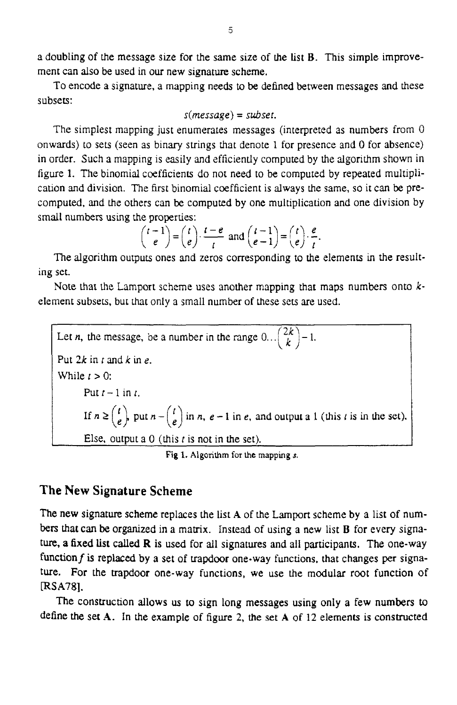a doubling of the message size for the same size of the *list* **B.** This simple improvement can also **be** used in our new signature scheme.

To encode a signature, a mapping **needs** to **be** defined between messages and these subsets:

$$
s(message) = subset.
$$

The simplest mapping just enumerates messages (interpreted as numbers from *0*  onwards) to sets (seen as binary strings that denote 1 for presence **and** *0* for absence) in order. Such a mapping is easily and efficiently computed by the algorithm shown in figure 1. The binomial coefficients do not need to be computed by repeated multiplication and division. The first binomial coefficient is always the same, so it can **be** precomputed, **and** the others can **be** computed by one multiplication and one division **by**  small numbers using the properties:

$$
\binom{t-1}{e} = \binom{t}{e} \cdot \frac{t-e}{t} \text{ and } \binom{t-1}{e-1} = \binom{t}{e} \cdot \frac{e}{t}.
$$

The algorithm outputs ones and zeros corresponding to the elements **in** the resulting set.

Note that the Lamport scheme uses another mapping that maps numbers onto *k*element subsets, **but that** only a small number of these sets are used.

Let *n*, the message, be a number in the range  $0 \dots \binom{2k}{k} - 1$ . Put  $2k$  in  $t$  and  $k$  in  $e$ . While  $t > 0$ : Put  $t-1$  in  $t$ . If  $n \geq {t \choose e}$  put  $n - {t \choose e}$  in *n, e* - 1 in *e,* and output a 1 (this *t* is in the set). Else, output a 0 (this *t* is not in the set).

Fig 1. Algorithm for the mapping *s*.

#### **The New Signature Scheme**

The new signature scheme replaces the list A of the Lamport scheme by a list of num**bers that can be** organized in a matrix. Instead of using a new list **B** for every signature, **a fixed list** called **R** is used for all signatures **and** all participants. The one-way functionf is **replaced** by **a** set of trapdoor one-way functions, that changes per signature. For the trapdoor one-way functions, **we** use the modular root function of **IRS A7 81.** 

The construction allows us to sign long messages using only **a** few numbers to define the set **A.** In the example of figure **2,** the **set A** of 12 elements is **constructed**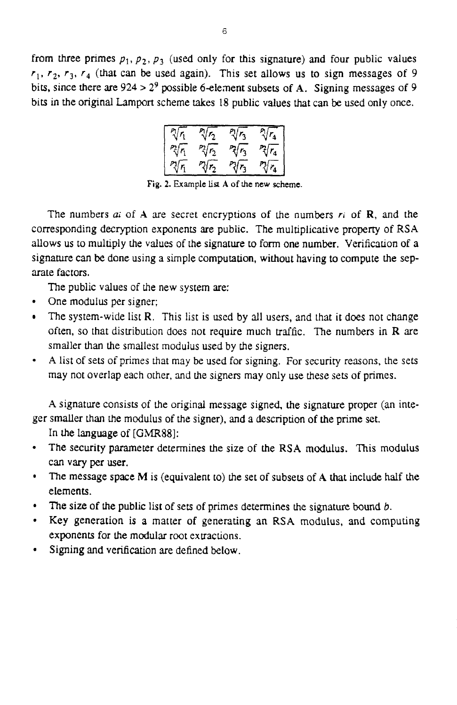from three primes  $p_1$ ,  $p_2$ ,  $p_3$  (used only for this signature) and four public values  $r_1$ ,  $r_2$ ,  $r_3$ ,  $r_4$  (that can be used again). This set allows us to sign messages of 9 bits, since there are **924** > **29** possible 6-element subsets of **A.** Signing messages of 9 bits in the orignal Lamport scheme takes 18 public values that can **be** used only once.

| $2r_1$ | $\sqrt[n]{r_2}$ | ヾ゚゚゚゚゚ | V<br>۰4 |
|--------|-----------------|--------|---------|
| ?∛∩    | $\sqrt[2]{r_2}$ | ぐら     | $r_1$   |
|        |                 | ۸,     |         |

**Fig. 2. Example list A of he new scheme.** 

The numbers  $ai$  of  $A$  are secret encryptions of the numbers  $ri$  of  $R$ , and the corresponding decryption exponents are public. The multiplicative property of **RSA**  allows us to multiply the values of the signature to form one number. Verification of a signature can **be** done using a simple computation, without having to compute the separate factors.

The public values of the new system are:

- One modulus per signer:
- The system-wide list **R.** This list is **used** by all users, and that it **does** not change often, so that distribution does not require much traffic. The numbers in R *are*  smaller than the smallest modulus used by the signers.
- **A** list of sets of primes that may be used for signing. For security reasons, the *sets*   $\bullet$ may not overlap each other, **and** the signers may only use these sets of primes.

**A** signature consists of the original message signed, the signature proper (an integer smaller **than** the modulus of the signer), **and** a description of the prime set.

In the language of *[GMR88]:* 

- The security parameter determines the size of the **RSA modulus.** This modulus  $\bullet$ can vary per user.
- $\bullet$ The message space **M** is (equivalent to) the set of subsets of **A** that include half the elements.
- **The** size *of* the public list of sets **of** primes determines the signature bound **6.**
- $\bullet$ Key generation is a matter of generating an **RSA** modulus, and computing exponents for the modular root extractions.
- **Signing** and verification are defined below.  $\bullet$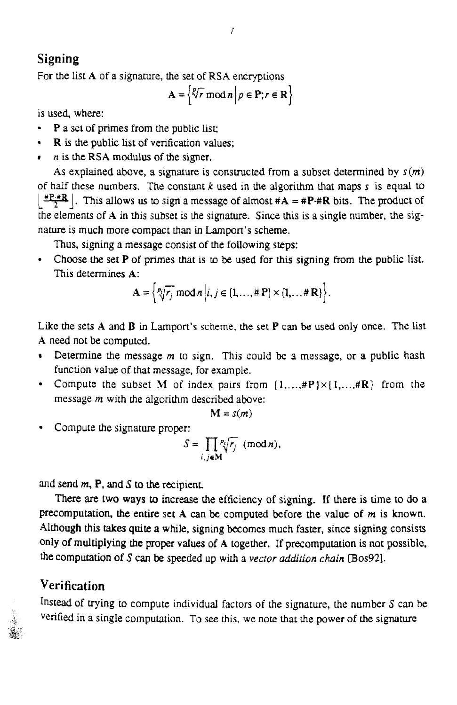### **Signing**

For the list **A** of a signature, the set of **RSA** encryptions <br>  $A = \left\{ \sqrt[p]{r} \mod n \mid p \in P; r \in R \right\}$ <br>
is used, where:

$$
\mathbf{A} = \left\{ \sqrt[p]{r} \bmod n \, \middle| \, p \in \mathbf{P}; r \in \mathbf{R} \right\}
$$

is used, where:

- **P a set** of primes from the public lisc
- **• R** is the public list of verification values;
- *r* is the RSA modulus of the signer.

As explained above, a signature is constructed from a subset determined by  $s(m)$ of half these numbers. The constant *k* used in **the** algorithm **that** maps **s** is equal to  $\frac{HP+IR}{2}$ . This allows us to sign a message of almost  $#A = AP+IR$  bits. The product of the elements of **A** in this subset is the signature. Since this is a single number, the signature is much more compact **than** in Lamport's scheme.

Thus, signing a message consist of the following steps:

Choose **the** set **P** of primes that **is** to **be used** for this signing from the public list. This determines **A:** 

$$
\mathbf{A} = \left\{ \sqrt[p_i]{r_j} \mod n \middle| i, j \in \{1, ..., \# \mathbf{P}\} \times \{1, ..., \# \mathbf{R}\} \right\}.
$$

Like the *sets* **A and B** in **Lampart's** scheme, the set **P** can **be** used only once. The list **A** need not **be** computed.

- Determine the message *m* to sign. This could **be** 3 message, or a public hash function value of that message, for example.
- Compute the subset M of index pairs from  $\{1,\ldots,\text{HP}\}\times\{1,\ldots,\text{HR}\}\$  from the message *m* with the algorithm described above:

$$
\mathbf{M}=s(m)
$$

Compute the signature proper:

$$
S=\prod_{i,j\in\mathbf{M}}\frac{p_i}{\sqrt{r_j}}\ (\mathrm{mod}\ n),
$$

**and** send *m,* **P,** and **S to the** recipient.

There **are two ways** to increase the efficiency of signing. **If** there is time **to** do a precompuration, **the** entire **set A** can **be** computed **before** the value **of** *m* is **known.**  Although **this** takes quite **a** while, signing becomes much faster, since signing consists **only of** multiplying **the** proper values of **A** together. **If** precomputation is not **possible,**  the computation **of 3** can **be speeded up** with a *vector uddifion* chain **Bos921.** 

#### **Verification**

4

Instead of **trying to** compute individual factors of the signature, the number **S** can be verified in a single computation. To see this, we note that the power of the signature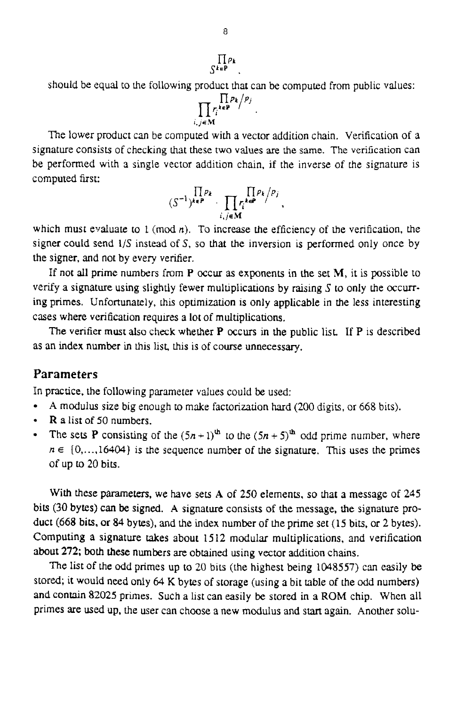# $\prod_{\zeta k \in P} \rho_k$

should be equal to the following product that can be computed from public values:

$$
\prod_{i,j\in\mathbf{M}}r_i^{k\in\mathbf{P}}/p_j
$$

The lower product can be computed **with** a vector addition chain. Verificstion of a signature consists of checking that these two values **are the** same. The verification can be performed with **3** single vector addition chain, if the inverse of rhe signature is computed first:

$$
(S^{-1})^{k\in P} \cdot \prod_{i,j\in M} r_i^{k\in P}/p_j
$$

which must evaluate to  $1 \pmod{n}$ . To increase the efficiency of the verification, the signer could send **1/S** instead of S, so that the inversion **is** performed only once by the signer, and not by every verifier.

If not ail prime numbers from **P** occur as exponents in **the** set M, it is possible to verify a signature **using** slightly fewer multiplications by raising **S** to only the OCCLUTing **primes.** Unfortunately, his optimization **is** only applicable in the less interesting cases where verification requires a lot of multiplications.

The **verifier must** also **check** wheber **P** occurs in the public list. If P is described as an index number in this list, this is of course unnecessary.

#### **Parameters**

In practice, the following parameter values could **be** used:

- **A** modulus *size* big enough to make factorization **hard** (200 **digits,** or *668* **bits).**   $\bullet$
- **R a list** of 50 numbers.  $\bullet$
- The sets **P** consisting of the  $(5n + 1)^{th}$  to the  $(5n + 5)^{th}$  odd prime number, where  $\bullet$  $n \in \{0, \ldots, 16404\}$  is the sequence number of the signature. This uses the primes of up to **20** bits.

With **these** parameters, we have sets **A** of **250** elements. so that a message **of 245**  bits **(30** bytes) can **be** signed. **A** signature consists of the message, the signature product (668 bits, or *84* **bytes),** and the **index** number of the prime set (15 bits, *or* **2** bytes). **Computing a** signature takes about 15 12 modular multiplications, and verification **about 272; both these numbers are** obtained using vector addition chains.

The list of the odd primes up to 20 bits (the highest being 1048557) can easily be stored; it would **need** only *64* **K** bytes of storage (using a bit table of the **odd** numbers) and contain *82025* primes. Such a list can easily **be stored** in a ROM chip. When all primes are used up, the user can choose a new modulus and *start* again. Another solu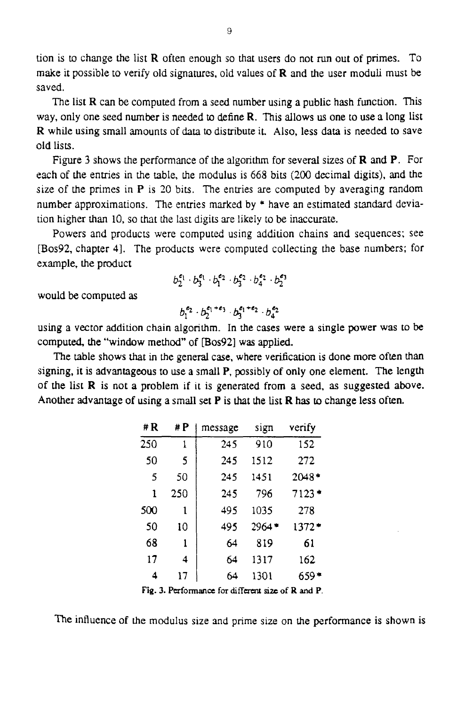tion is to change the list **R** often enough so that users do not run out of primes. TO make **it** possible to verify old signatures, old values of **R** and the user moduli must **be**  saved.

The list **R** can be computed from a seed number using a public hash function. This way, only one seed **number** is needed to define **R.** This allows us one to use a long list **R** while using small amounts of **data** to distribute **it. Also,** less **data** is needed to Save **old** lists.

Figure 3 shows the performance of the algorithm for several sizes of **R** and P. For each of the entries in the table, the modulus is 668 bits *(200* decimal digits), and the size of the primes in P is 20 bits. The entries are computed **by** averaging random number approximations. The entries marked by \* have an estimated standard deviation higher than 10, so that the last digits are **likely** to **be** inaccurate.

Powers and products were computed using addition chains and sequences: see **[Bos92,** chapter **41.** The products were computed collecting the base numbers; for example, the product

$$
b_2^{\varepsilon_1} \cdot b_3^{\varepsilon_1} \cdot b_1^{\varepsilon_2} \cdot b_3^{\varepsilon_2} \cdot b_4^{\varepsilon_2} \cdot b_2^{\varepsilon_3}
$$

would be computed **as** 

$$
b_1^{e_2} \cdot b_2^{e_1+e_3} \cdot b_3^{e_1+e_2} \cdot b_4^{e_2}
$$

using a vector addition chain algorithm. **In the** cases were **a** single power was to be computed, the "window method" **of [Bos92]** was applied.

The table shows that in the general case, where verification is done more **often than**  signing, it is advantageous to use a small P, possibly **of** only one element. The length of the list **R** is not **a** problem **if it** is generated from a seed, **as** suggested above. Another advantage **of** using a small set **P** is that the **list R** has to change less often.

| #R                                   | # P | message | sign    | verify  |  |
|--------------------------------------|-----|---------|---------|---------|--|
| 250                                  | 1   | 245     | 910     | 152     |  |
| 50                                   | 5   | 245     | 1512    | 272     |  |
| 5                                    | 50  | 245     | 1451    | 2048*   |  |
| 1                                    | 250 | 245     | 796     | $7123*$ |  |
| 500                                  | 1   | 495     | 1035    | 278     |  |
| 50                                   | 10  | 495     | $2964*$ | 1372*   |  |
| 68                                   | 1   | 64      | 819     | 61      |  |
| 17                                   | 4   | 64      | 1317    | 162     |  |
| 4                                    | 17  | 64      | 1301    | 659*    |  |
| c<br>n<br>. <del>.</del><br>$\cdots$ |     |         |         |         |  |

Fig. 3. Performance for different size of R and P.

The influence of the modulus size and prime size on the performance is shown **is**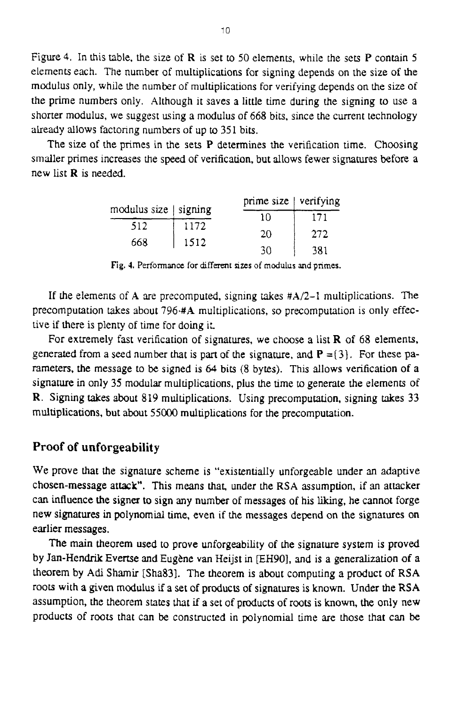Figure **4.** In this table, the size of **R** is set **u)** 50 elements, while the sets **P** contain *5*  elements each. The number of multiplications for signing depends on the size of the modulus only, while the number of multiplications for verifying depends on the size of the prime numbers only. Although it saves **a** little time during the signing to use a shorter modulus, we suggest using a **modulus** of 668 bits, since the current technology already allows factoring numbers of up to 351 bits.

The size of the primes in the sets **P** determines the verification time. Choosing smaller primes increases the **speed** of verification, **but** allows fewer signatures before a new list **R** is needed.

| ied.         |         | le primes in the sets P determines the verification<br>creases the speed of verification, but allows fewer si |     |
|--------------|---------|---------------------------------------------------------------------------------------------------------------|-----|
|              |         | prime size   verifying                                                                                        |     |
| modulus size | signing | 10                                                                                                            | 171 |
| 512          | 1172    | 20                                                                                                            | 272 |
| 668          | 1512    | 30                                                                                                            | 381 |

**Fig. 4.** Performance **for** different *sites* of modulus **and primes.** 

If the elements of **A** are precomputed, signing takes  $#A/2-1$  multiplications. The precomputation takes about **7964#A** multiplications, so precomputation is only effective if there is plenty of time for doing it

For extremely fast verification of signatures, we choose a list  $\bf{R}$  of 68 elements, generated from a **seed** number that is part of the signature, **and P** =( *3).* For these parameters, the message to **be** signed is *64* bits (8 **bytes).** This allows verification of a signature in only 35 modular multiplications, plus the time to generate the elements of **R.** Signing takes about 819 multiplications. Using precomputation, signing takes 33 multiplications, but about *55000* multiplications for the precomputation.

#### **Proof of unforgeability**

We prove that the signature scheme **is** "existentially unforgeable under an adaptive chosen-message attack". This means that, under the **RSA** assumption, if **an** attacker can influence **the** signer **to** sign any number of messages of his liking, he cannot forge new **signatures in** polynomial time, even **if** the messages depend on the signatures on earlier messages.

The main theorem used to prove unforgeability of the signature **system** is proved **by** Jan-Hendrik Evertse and Eugene van Heijst in **EH901, and** is a generalization of a theorem **by Adi** Shamir **[Sha33].** The theorem is about computing a product of **RSA**  roots with a **given** modulus if **a** set of products of signatures is known. Under the RSA assumption, the theorem states that if a set of products of roots is known, the only new products of roo& that can **be** constructed in polynomial **time** are those that can **be**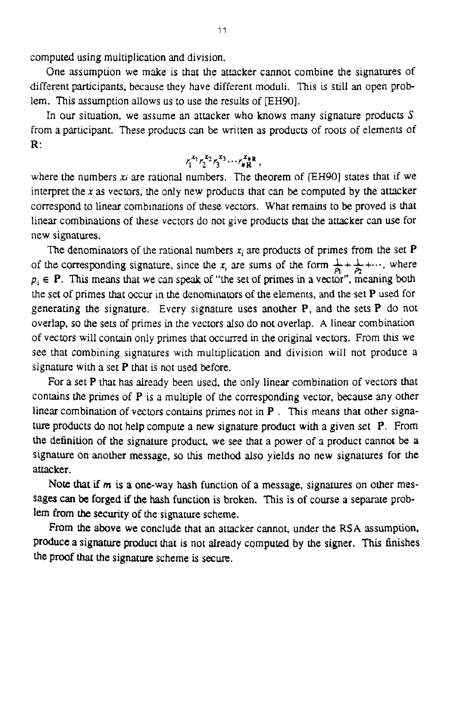computed using multiplication and division.

One assumption we make is that the attacker cannot combine the signatures of different participants, because they have different moduli. This is still an open problem. This assumption allows us to use the results of [EH90].

**In** our situation, we assume an attacker who knows many signature products **S**  from a participant. These products can be written as products of roots of elements of R:

$$
r_1^{x_1} r_2^{x_2} r_3^{x_3} \cdots r_{\#R}^{x_{\#R}},
$$

where the numbers *Xi* are rational numbers, The theorem *of* EH901 states that if we interpret the *x* as vectors, the only new products that can **be** computed by the attacker correspond to linear combinations of these vectors. What remains to **be** proved is **that**  linear combinations of these vectors **do** not give products that the attacker can use for new signatures.

The denominators of the rational numbers  $x_i$  are products of primes from the set **P** of the corresponding signature, since the  $x_i$  are sums of the form  $\frac{1}{p_1} + \frac{1}{p_2} + \cdots$ , where  $p_i \in \mathbf{P}$ . This means that we can speak of "the set of primes in a vector", meaning both the set of primes that occur in the denominators of the elements, and the set **P** used for generating the signature. Every signature uses another **P,** and the sets **P do** not overlap, so the sets of primes in the vectors also do not overlap. **A** linear combination of vectors will contain only primes that occurred in the original vectors. From this we see that combining signatures with multiplication and division will not produce a signature with a set P that is not used before.

For a set **P** that **has** already been used, the only linear combination of vectors that contains the primes of P is a multiple of the corresponding vector, because any other linear combination of vectors contains primes not in **P** . This means that other **signa**ture products **do** not help compute a new signature product with a given set P. From the definition of the signature product, we see that a power of a product cannot **be a**  signature on another message, so this method also yields no new signatures for the attacker.

Note **that** if **m** is **a one-way** hash function of **a** message, signatures on other messages *can* **be forged** if the **hash** function is broken. This **is** of course a separate problem **from the** security of **the** signature scheme.

From the above we conclude that **an** attacker cannot, under the **RSA assumption,**  Produce a signature *product* that **is** not already computed **by** the **signer.** This finishes the proof that the signature scheme is secure.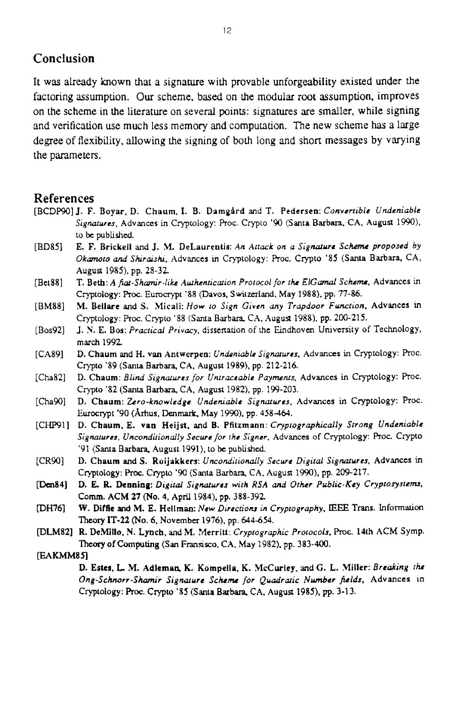#### **Conclusion**

It was already known that a signature with provable unforgeability existed under the factoring assumption. Our scheme, based on the modular root assumption, improves on the scheme in the literature on several points: signatures are smaller, while signing and verification use much less memory and computation. The new scheme has a large degree of flexibility, allowing the signing of both long and short messages **by** varying the parameters.

#### **References**

- [BCDW] **J.** F. **Boyar, D. Chaum. I. B. Damgird** and T. **Pedersen:** *Convertible Undeniable Signawes.* Advances in Cryptology: Proc. Crypto '90 (Santa **Barbara.** CA, **August** 1m), to *be* **published**
- [BD85] **E. F. Brickell and J. M. DeLaurentis:** An Attack on a Signature Scheme proposed by *Okmnoto and Shraishr,* Advances in Cryptology: Roc. Crypto *'85* (Santa Barbara, CA, August 1985), **pp.** 28-32
- [Bet88] **T. Beth:** A *fiut-Shm'r.likr Alrthenticnrion Protocol for rh ElGd Schenu,* Advances in Cryptology: Proc. Eurocrypt '88 (Davos, Switzerland, May 1988), pp. 77-86.
- [BM88] **M. Bellare** and **S. Micali:** *How 10 Sign Given my Trapdoor Function,* Advances in Cryptology: **Proc.** Crypto '88 (Santa **Barbam** CX. August **1988). pp.** 200-215.
- **[Bos92]**  J. **Y. E. Bos:** *Practical Privacy,* dissenation of the Eindhoven University of Technology, **march** I992
- [CA89] D. Chaum and H. van Antwerpen: *Undeniable Signatures*, Advances in Cryptology: Proc. Crypto '89 (Santa **Barbara,** CA. August 1989). **pp.** 212-216.
- [Cha82] **D. Cbaum:** *Blind Sigmwes for Untraceable Payments,* Advances in Cryptology: ROC. Crypto '82 **(Santa Barbara, CA, August 1982)**, pp. 199-203.
- $[Cha90]$ **D. Chaum:** *Zero-knowledge Undeniable Signafwes,* Advances **in** Cryptology: **PTOC.**  Eurocrypt '90 **(Ahus,** Denmark, May 1940). **pp. 458464.**
- [CHp911 **D. Cbaum, E. vao Heijst.** and **B. Pfitzmann:** *Cryprogruphically Strong Undeniable Signatures, Uncondiriondly Secure for rhe Signer.* Advances of **Cryptology: ROC.** Crypt0 '91 **(Santa** Barbara. August 1991). **to** be **published.**
- $[CR90]$ **D. Cham and S. Roijakkers:** *Uncondirionally Secwc Digital Signatures.* Advances in C~tOlogy: Proc Crypt0 '90 **(Santa Barbara,** CA, **Augua** 1990). **pp. 209-217.**
- **IDen841 D. E. R. Denning:** *Digital Signarwrs with RSA and Other Public-Key Cryptosystem.*  **Comm. ACM** *27* **(No. 4,** April 1984). **pp.** 388-392
- $[DH76]$ **W. Diffie and M. E. Hellman: New Directions in Cryptography, IEEE Trans. Information** Theory IT-22 *(No.* **6.** November 1976). **pp. 644-654.**
- **PLM821 R. DeMlllo. N. Lynch,** and M. **Merritt:** *Cryptographic Protocols.* **Proc** 14th ACM Symp. Theory of Computing (San Fransisco, CA, May 1982), pp. 383-400.

#### **IEAKMM85l**

**D. Estes, L. M. Adlemas K. Kompella. K. McCurley, and** *G.* **L. Miller:** *Breaking rh Ong-Schorr-Shamir Signature Scheme for Quadratic Nwnbcr jitlds.* Advances **In Cryptology: ROC.** Crypt0 '85 (Santa **Barbara CA.** Augun **1985). pp. 3-1 3.**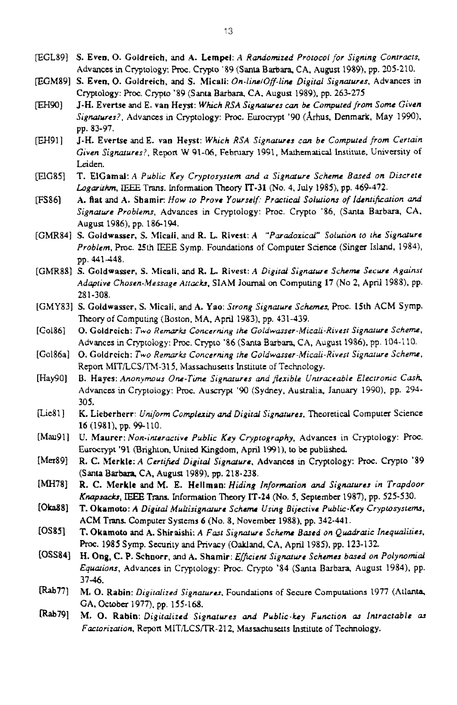- EGL891 **S. Even. 0.** Goldreich, and A. Lempel: *A Randomized Protocol for Signing Contracts,*  Advances in Cryptology: Roc. Crypto '89 (Santa **Barbam** CA. August 1989), **pp. 205-210.**
- WM891 **S.** Even, 0. Goldreich, **and** S. Micali: *On-line/Off-line Digital Signatures.* Advances in Cryptology: Roc. Crypto '89 (Santa **Barbara.** CA. August 1989). pp. 263-275
- m901 **J-H.** Evertse and E. **van** Heyst: *Which RSA Signatures can be Computed from Some Given Sigmrer?,* Advances in Cryptology: **Proc.** Eurocrypt '90 **(Arhus.** Denmark, May 1990). pp. 83-97.
- J-H. Evertse and E. **van** Heyst: Which *RSA Signarwes tun be Compured from Cerrain Given Signatures?. Report* W **91-06.** February 1991, **Marhematical** Institute, University of **Leiden.**  [EHgl]
- T. **E1Camal:A** *Public Key Cryptosystem and a Signature Scheme Bused on Discrete Logarkh,* IEEE *Trans.* Information Theory IT-31 (No. 4, July 1985). pp. 469-472. *@C8.5]*
- **A.** Rat **and A.** Shamir How *to Prove Yourself.- Pracrical Solutions of l&n!iftation and Signature Problems. Advances in Cryptology: Proc. Crypto '86, (Santa Barbara, CA,* August 1986). pp. 186-194. **FSSS]**
- [GMR84] S. Goldwasser, S. **.MiCali.** and R. **L.** Rivest: A *"Purudozical" SO~UK~OA to rhc Sigwurc Problem,* bc. 25th IEEE Symp. **Foundations** of Computer **Scimce (Singer** Island. 1984), **pp.** 441448.
- [GMFSS] **S. Coldwasser, S.** Micali, **and R.** L. **Rives::** *A Digital Signawe Scheme Secure Aguinsr Adaptive Chosen-Message Artah,* SIAM Journal on Computing **17** (No 2, April 1988). pp. 281-308.
- LGMY831 **S.** Goldwasscr, S. **Micali.** and A. Yao: *Strong Signcrure* Schema, Pmc. 15th ACM Syrnp. Theory of **Computing (Boston,** MA, Apnl 1983). pp. 431-439.
- [Go1861 0. Coldrcich: Two *Rernarkr Concerning the GoIdwarser-Micah-Rivesr Signarure Scheme,*  Advances in Cryptology: Proc. Crypto '86 (Santa Barbara, CA, August 1986), pp. 104-110.
- [Gd86aI 0. Goldreich: Two *Remarh Concerning rhe Goldwasser-Micali-Rivesr Signature Scheme.*  Report MIT/LCS/TM-315, Massachusetts Institute of Technology.
- [Hay901 **B.** Hayes: *Anonymous One-Time Siguures and flexible Un1ruceable Elecrronic Cmsh*  Advances in Cryptology: Proc. Auscrypt '90 (Sydney, Australia, January 1990), pp. 294-305.
- K. Lieberherr: *Uniform Complexity and Digital Signatures*, Theoretical Computer Science **16** (1981), pp. 99-110. [Lie81]
- U. Maurer: *Non-interactive Public Key Cryptography*, Advances in Cryptology: Proc. Eurocrypt '91 **@righton.** Unikd **Kingdom,** April 1991), to **be** published. [Mau91]
- R. C. Merkle: *A Certified Digital Signature*, Advances in Cryptology: Proc. Crypto '89 (Santa **Barbam** CA. August 1989). **pp. 218-238.**  [Mer89]
- **R.** *C.* **Merkle and** M. E. Hellmno: *Hiding lnforwion ad Siguwes in Trapdoor Knapsuck.~,* IEEE **Trans.** Information Theory **IT-24** *(No. 5,* **September** 1987). pp. 525-530. [MH781
- **T.** Okamoto: *A Digital Mukisignature Schuru Using Bijective Puhlic-Key Crypmsysrem,*  ACM **Trans** Computer Systems **6** (No. *8.* **November** 1988). pp. 342-441. **[om81**
- **T.** Okamoto **and** A. **Shiraichi:** *A Far Sigmurr Sckm Bused on Quudratic Inequalilies,*  Proc. 1985 Symp. Security and Privacy (Oakland, CA, April 1985), pp. 123-132. [OssSl
- **H. Ong, C. P.** Schoorr, **md** A. Shamir: *E/ficieM Sigwwc Schemes bused on Polynomial Equaions,* Advances in Cryptology: Roc. Crypto **'84 (Santa Barbara,** August 1984). pp. 37-46. **(Ossw**
- **M.** *0.* Rabin: *Digitalized Signaurcs.* **Foundations** *of* **Secure** Computations 1977 (Atlanta, **CA.** *October* 1977). pp. 155-168. **m771**
- **M.** *0.* Rabio: *Digitalized Signururcs* and *Public-key Function at Intractable at*  Factorization, Report MIT/LCS/TR-212, Massachusetts Institute of Technology. [Rab79]